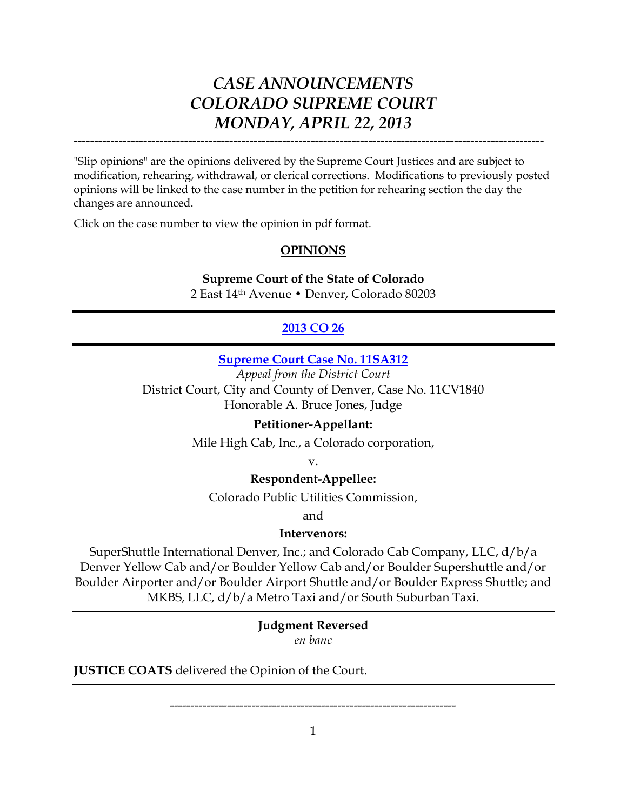"Slip opinions" are the opinions delivered by the Supreme Court Justices and are subject to modification, rehearing, withdrawal, or clerical corrections. Modifications to previously posted opinions will be linked to the case number in the petition for rehearing section the day the changes are announced.

-------------------------------------------------------------------------------------------------------------------

Click on the case number to view the opinion in pdf format.

## **OPINIONS**

## **Supreme Court of the State of Colorado**

2 East 14th Avenue • Denver, Colorado 80203

## **2013 [CO 26](http://www.courts.state.co.us/userfiles/file/Court_Probation/Supreme_Court/Opinions/2011/11SA312.pdf)**

### **[Supreme Court Case No. 11SA312](http://www.courts.state.co.us/userfiles/file/Court_Probation/Supreme_Court/Opinions/2011/11SA312.pdf)**

*Appeal from the District Court* District Court, City and County of Denver, Case No. 11CV1840 Honorable A. Bruce Jones, Judge

#### **Petitioner-Appellant:**

Mile High Cab, Inc., a Colorado corporation,

v.

### **Respondent-Appellee:**

Colorado Public Utilities Commission,

and

#### **Intervenors:**

SuperShuttle International Denver, Inc.; and Colorado Cab Company, LLC, d/b/a Denver Yellow Cab and/or Boulder Yellow Cab and/or Boulder Supershuttle and/or Boulder Airporter and/or Boulder Airport Shuttle and/or Boulder Express Shuttle; and MKBS, LLC, d/b/a Metro Taxi and/or South Suburban Taxi.

> **Judgment Reversed** *en banc*

**JUSTICE COATS** delivered the Opinion of the Court.

----------------------------------------------------------------------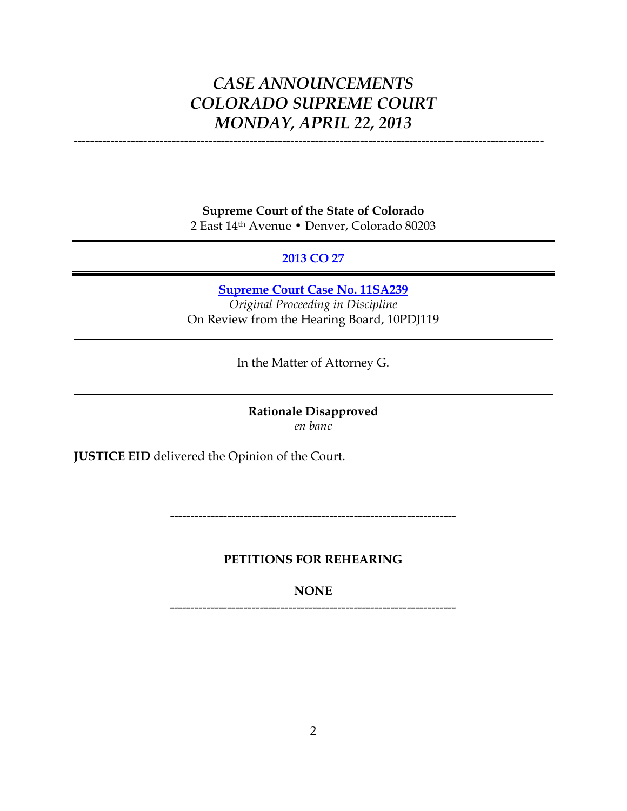-------------------------------------------------------------------------------------------------------------------

**Supreme Court of the State of Colorado** 2 East 14th Avenue • Denver, Colorado 80203

## **[2013 CO 27](http://www.courts.state.co.us/userfiles/file/Court_Probation/Supreme_Court/Opinions/2011/11SA239.pdf)**

**[Supreme Court Case No. 11SA239](http://www.courts.state.co.us/userfiles/file/Court_Probation/Supreme_Court/Opinions/2011/11SA239.pdf)** *Original Proceeding in Discipline* On Review from the Hearing Board, 10PDJ119

In the Matter of Attorney G.

**Rationale Disapproved** *en banc*

**JUSTICE EID** delivered the Opinion of the Court.

----------------------------------------------------------------------

**PETITIONS FOR REHEARING**

**NONE**

----------------------------------------------------------------------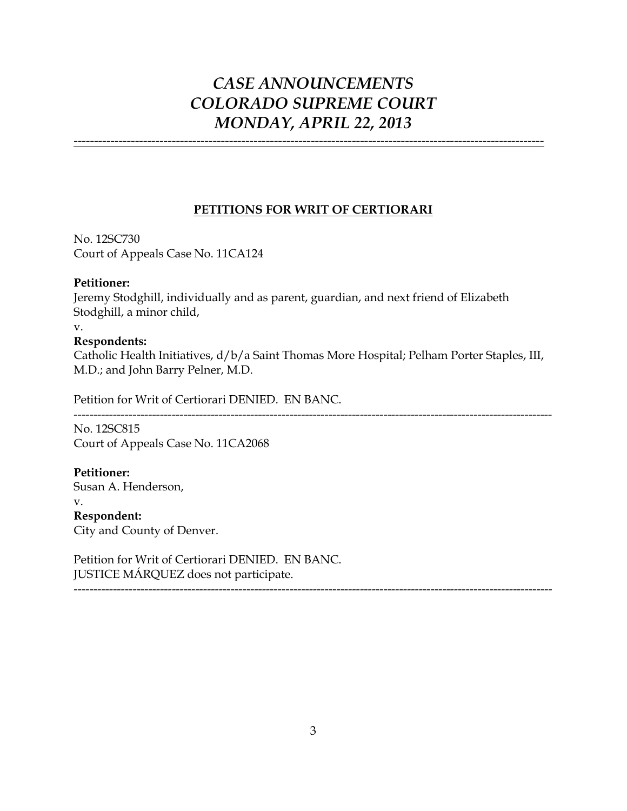-------------------------------------------------------------------------------------------------------------------

## **PETITIONS FOR WRIT OF CERTIORARI**

No. 12SC730 Court of Appeals Case No. 11CA124

### **Petitioner:**

Jeremy Stodghill, individually and as parent, guardian, and next friend of Elizabeth Stodghill, a minor child,

v.

## **Respondents:**

Catholic Health Initiatives, d/b/a Saint Thomas More Hospital; Pelham Porter Staples, III, M.D.; and John Barry Pelner, M.D.

Petition for Writ of Certiorari DENIED. EN BANC.

--------------------------------------------------------------------------------------------------------------------------

No. 12SC815 Court of Appeals Case No. 11CA2068

**Petitioner:** Susan A. Henderson, v. **Respondent:** City and County of Denver.

Petition for Writ of Certiorari DENIED. EN BANC. JUSTICE MÁRQUEZ does not participate.

--------------------------------------------------------------------------------------------------------------------------